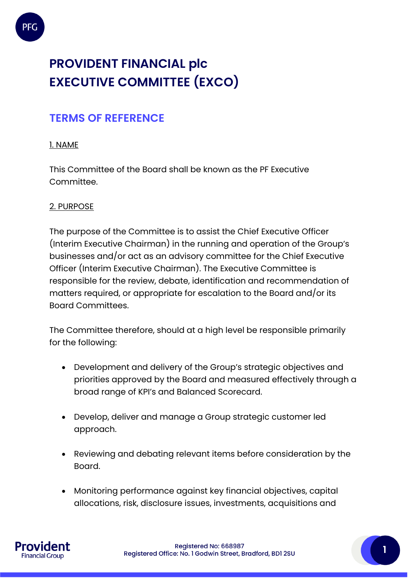

# **PROVIDENT FINANCIAL plc EXECUTIVE COMMITTEE (EXCO)**

# **TERMS OF REFERENCE**

# 1. NAME

This Committee of the Board shall be known as the PF Executive Committee.

#### 2. PURPOSE

The purpose of the Committee is to assist the Chief Executive Officer (Interim Executive Chairman) in the running and operation of the Group's businesses and/or act as an advisory committee for the Chief Executive Officer (Interim Executive Chairman). The Executive Committee is responsible for the review, debate, identification and recommendation of matters required, or appropriate for escalation to the Board and/or its Board Committees.

The Committee therefore, should at a high level be responsible primarily for the following:

- Development and delivery of the Group's strategic objectives and priorities approved by the Board and measured effectively through a broad range of KPI's and Balanced Scorecard.
- Develop, deliver and manage a Group strategic customer led approach.
- Reviewing and debating relevant items before consideration by the Board.
- Monitoring performance against key financial objectives, capital allocations, risk, disclosure issues, investments, acquisitions and



Registered No: 668987 Registered Office: No. 1 Godwin Street, Bradford, BD1 2SU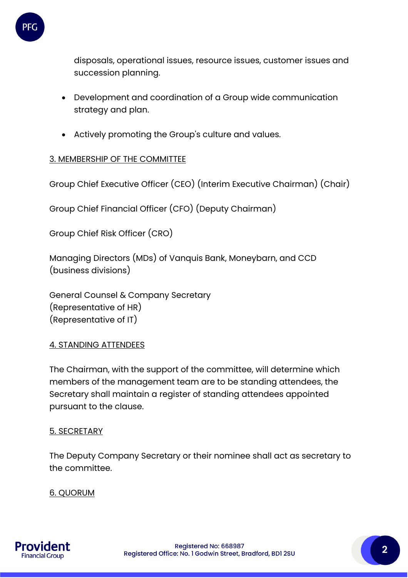

disposals, operational issues, resource issues, customer issues and succession planning.

- Development and coordination of a Group wide communication strategy and plan.
- Actively promoting the Group's culture and values.

# 3. MEMBERSHIP OF THE COMMITTEE

Group Chief Executive Officer (CEO) (Interim Executive Chairman) (Chair)

Group Chief Financial Officer (CFO) (Deputy Chairman)

Group Chief Risk Officer (CRO)

Managing Directors (MDs) of Vanquis Bank, Moneybarn, and CCD (business divisions)

General Counsel & Company Secretary (Representative of HR) (Representative of IT)

#### 4. STANDING ATTENDEES

The Chairman, with the support of the committee, will determine which members of the management team are to be standing attendees, the Secretary shall maintain a register of standing attendees appointed pursuant to the clause.

#### 5. SECRETARY

The Deputy Company Secretary or their nominee shall act as secretary to the committee.

#### 6. QUORUM

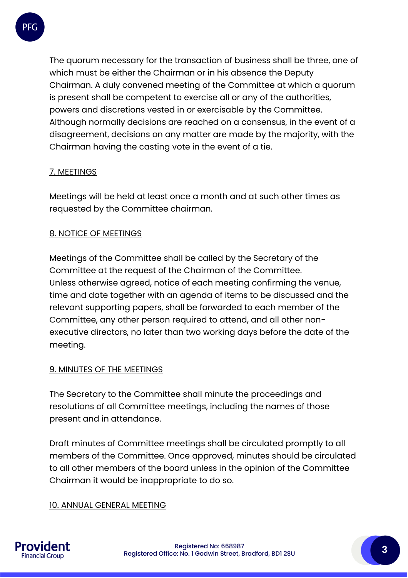

The quorum necessary for the transaction of business shall be three, one of which must be either the Chairman or in his absence the Deputy Chairman. A duly convened meeting of the Committee at which a quorum is present shall be competent to exercise all or any of the authorities, powers and discretions vested in or exercisable by the Committee. Although normally decisions are reached on a consensus, in the event of a disagreement, decisions on any matter are made by the majority, with the Chairman having the casting vote in the event of a tie.

# 7. MEETINGS

Meetings will be held at least once a month and at such other times as requested by the Committee chairman.

# 8. NOTICE OF MEETINGS

Meetings of the Committee shall be called by the Secretary of the Committee at the request of the Chairman of the Committee. Unless otherwise agreed, notice of each meeting confirming the venue, time and date together with an agenda of items to be discussed and the relevant supporting papers, shall be forwarded to each member of the Committee, any other person required to attend, and all other nonexecutive directors, no later than two working days before the date of the meeting.

#### 9. MINUTES OF THE MEETINGS

The Secretary to the Committee shall minute the proceedings and resolutions of all Committee meetings, including the names of those present and in attendance.

Draft minutes of Committee meetings shall be circulated promptly to all members of the Committee. Once approved, minutes should be circulated to all other members of the board unless in the opinion of the Committee Chairman it would be inappropriate to do so.

#### 10. ANNUAL GENERAL MEETING

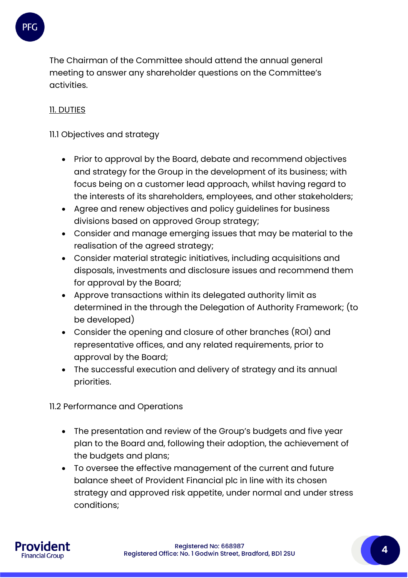

The Chairman of the Committee should attend the annual general meeting to answer any shareholder questions on the Committee's activities.

# 11. DUTIES

11.1 Objectives and strategy

- Prior to approval by the Board, debate and recommend objectives and strategy for the Group in the development of its business; with focus being on a customer lead approach, whilst having regard to the interests of its shareholders, employees, and other stakeholders;
- Agree and renew objectives and policy guidelines for business divisions based on approved Group strategy;
- Consider and manage emerging issues that may be material to the realisation of the agreed strategy;
- Consider material strategic initiatives, including acquisitions and disposals, investments and disclosure issues and recommend them for approval by the Board;
- Approve transactions within its delegated authority limit as determined in the through the Delegation of Authority Framework; (to be developed)
- Consider the opening and closure of other branches (ROI) and representative offices, and any related requirements, prior to approval by the Board;
- The successful execution and delivery of strategy and its annual priorities.

11.2 Performance and Operations

- The presentation and review of the Group's budgets and five year plan to the Board and, following their adoption, the achievement of the budgets and plans;
- To oversee the effective management of the current and future balance sheet of Provident Financial plc in line with its chosen strategy and approved risk appetite, under normal and under stress conditions;

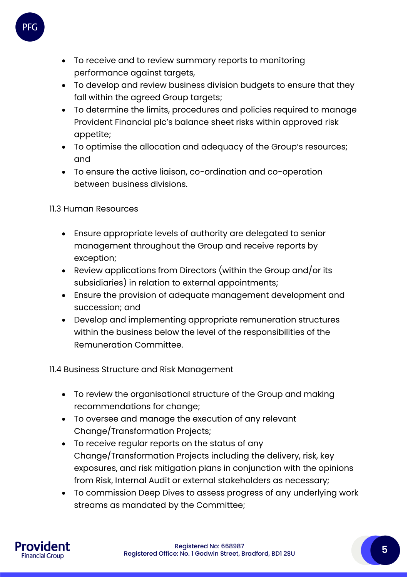

- To receive and to review summary reports to monitoring performance against targets,
- To develop and review business division budgets to ensure that they fall within the agreed Group targets;
- To determine the limits, procedures and policies required to manage Provident Financial plc's balance sheet risks within approved risk appetite;
- To optimise the allocation and adequacy of the Group's resources; and
- To ensure the active liaison, co-ordination and co-operation between business divisions.

11.3 Human Resources

- Ensure appropriate levels of authority are delegated to senior management throughout the Group and receive reports by exception;
- Review applications from Directors (within the Group and/or its subsidiaries) in relation to external appointments;
- Ensure the provision of adequate management development and succession; and
- Develop and implementing appropriate remuneration structures within the business below the level of the responsibilities of the Remuneration Committee.

11.4 Business Structure and Risk Management

- To review the organisational structure of the Group and making recommendations for change;
- To oversee and manage the execution of any relevant Change/Transformation Projects;
- To receive regular reports on the status of any Change/Transformation Projects including the delivery, risk, key exposures, and risk mitigation plans in conjunction with the opinions from Risk, Internal Audit or external stakeholders as necessary;
- To commission Deep Dives to assess progress of any underlying work streams as mandated by the Committee;

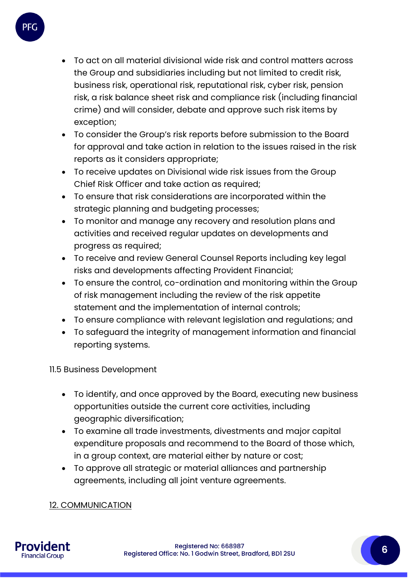

- To act on all material divisional wide risk and control matters across the Group and subsidiaries including but not limited to credit risk, business risk, operational risk, reputational risk, cyber risk, pension risk, a risk balance sheet risk and compliance risk (including financial crime) and will consider, debate and approve such risk items by exception;
- To consider the Group's risk reports before submission to the Board for approval and take action in relation to the issues raised in the risk reports as it considers appropriate;
- To receive updates on Divisional wide risk issues from the Group Chief Risk Officer and take action as required;
- To ensure that risk considerations are incorporated within the strategic planning and budgeting processes;
- To monitor and manage any recovery and resolution plans and activities and received regular updates on developments and progress as required;
- To receive and review General Counsel Reports including key legal risks and developments affecting Provident Financial;
- To ensure the control, co-ordination and monitoring within the Group of risk management including the review of the risk appetite statement and the implementation of internal controls;
- To ensure compliance with relevant legislation and regulations; and
- To safeguard the integrity of management information and financial reporting systems.

11.5 Business Development

- To identify, and once approved by the Board, executing new business opportunities outside the current core activities, including geographic diversification;
- To examine all trade investments, divestments and major capital expenditure proposals and recommend to the Board of those which, in a group context, are material either by nature or cost;
- To approve all strategic or material alliances and partnership agreements, including all joint venture agreements.

12. COMMUNICATION